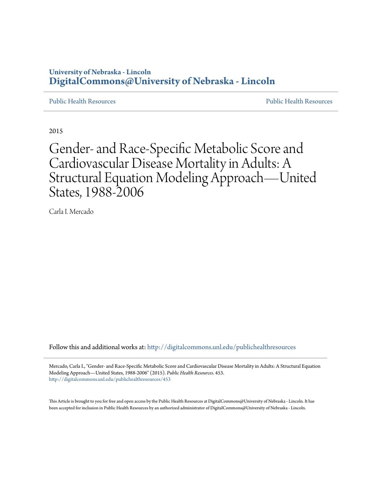## **University of Nebraska - Lincoln [DigitalCommons@University of Nebraska - Lincoln](http://digitalcommons.unl.edu?utm_source=digitalcommons.unl.edu%2Fpublichealthresources%2F453&utm_medium=PDF&utm_campaign=PDFCoverPages)**

[Public Health Resources](http://digitalcommons.unl.edu/publichealthresources?utm_source=digitalcommons.unl.edu%2Fpublichealthresources%2F453&utm_medium=PDF&utm_campaign=PDFCoverPages) [Public Health Resources](http://digitalcommons.unl.edu/publichealth?utm_source=digitalcommons.unl.edu%2Fpublichealthresources%2F453&utm_medium=PDF&utm_campaign=PDFCoverPages)

2015

# Gender- and Race-Specific Metabolic Score and Cardiovascular Disease Mortality in Adults: A Structural Equation Modeling Approach—United States, 1988-2006

Carla I. Mercado

Follow this and additional works at: [http://digitalcommons.unl.edu/publichealthresources](http://digitalcommons.unl.edu/publichealthresources?utm_source=digitalcommons.unl.edu%2Fpublichealthresources%2F453&utm_medium=PDF&utm_campaign=PDFCoverPages)

Mercado, Carla I., "Gender- and Race-Specific Metabolic Score and Cardiovascular Disease Mortality in Adults: A Structural Equation Modeling Approach—United States, 1988-2006" (2015). *Public Health Resources*. 453. [http://digitalcommons.unl.edu/publichealthresources/453](http://digitalcommons.unl.edu/publichealthresources/453?utm_source=digitalcommons.unl.edu%2Fpublichealthresources%2F453&utm_medium=PDF&utm_campaign=PDFCoverPages)

This Article is brought to you for free and open access by the Public Health Resources at DigitalCommons@University of Nebraska - Lincoln. It has been accepted for inclusion in Public Health Resources by an authorized administrator of DigitalCommons@University of Nebraska - Lincoln.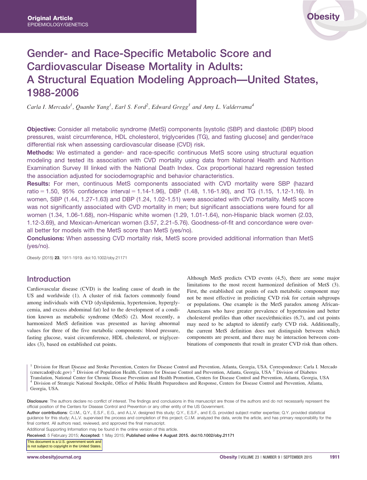## Gender- and Race-Specific Metabolic Score and Cardiovascular Disease Mortality in Adults: A Structural Equation Modeling Approach—United States, 1988-2006

Carla I. Mercado<sup>1</sup>, Quanhe Yang<sup>1</sup>, Earl S. Ford<sup>2</sup>, Edward Gregg<sup>3</sup> and Amy L. Valderrama<sup>4</sup>

Objective: Consider all metabolic syndrome (MetS) components [systolic (SBP) and diastolic (DBP) blood pressures, waist circumference, HDL cholesterol, triglycerides (TG), and fasting glucose] and gender/race differential risk when assessing cardiovascular disease (CVD) risk.

Methods: We estimated a gender- and race-specific continuous MetS score using structural equation modeling and tested its association with CVD mortality using data from National Health and Nutrition Examination Survey III linked with the National Death Index. Cox proportional hazard regression tested the association adjusted for sociodemographic and behavior characteristics.

Results: For men, continuous MetS components associated with CVD mortality were SBP (hazard ratio = 1.50, 95% confidence interval = 1.14-1.96), DBP (1.48, 1.16-1.90), and TG (1.15, 1.12-1.16). In women, SBP (1.44, 1.27-1.63) and DBP (1.24, 1.02-1.51) were associated with CVD mortality. MetS score was not significantly associated with CVD mortality in men; but significant associations were found for all women (1.34, 1.06-1.68), non-Hispanic white women (1.29, 1.01-1.64), non-Hispanic black women (2.03, 1.12-3.69), and Mexican-American women (3.57, 2.21-5.76). Goodness-of-fit and concordance were overall better for models with the MetS score than MetS (yes/no).

**Conclusions:** When assessing CVD mortality risk, MetS score provided additional information than MetS (yes/no).

Obesity (2015) 23, 1911-1919. doi:10.1002/oby.21171

## Introduction

Cardiovascular disease (CVD) is the leading cause of death in the US and worldwide (1). A cluster of risk factors commonly found among individuals with CVD (dyslipidemia, hypertension, hyperglycemia, and excess abdominal fat) led to the development of a condition known as metabolic syndrome (MetS) (2). Most recently, a harmonized MetS definition was presented as having abnormal values for three of the five metabolic components: blood pressure, fasting glucose, waist circumference, HDL cholesterol, or triglycerides (3), based on established cut points.

Although MetS predicts CVD events (4,5), there are some major limitations to the most recent harmonized definition of MetS (3). First, the established cut points of each metabolic component may not be most effective in predicting CVD risk for certain subgroups or populations. One example is the MetS paradox among African-Americans who have greater prevalence of hypertension and better cholesterol profiles than other races/ethnicities (6,7), and cut points may need to be adapted to identify early CVD risk. Additionally, the current MetS definition does not distinguish between which components are present, and there may be interaction between combinations of components that result in greater CVD risk than others.

<sup>1</sup> Division for Heart Disease and Stroke Prevention, Centers for Disease Control and Prevention, Atlanta, Georgia, USA. Correspondence: Carla I. Mercado (cmercado@cdc.gov)<sup>2</sup> Division of Population Health, Centers for Disease Control and Prevention, Atlanta, Georgia, USA  $3$  Division of Diabetes Translation, National Center for Chronic Disease Prevention and Health Promotion, Centers for Disease Control and Prevention, Atlanta, Georgia, USA<br><sup>4</sup> Division of Strategic National Stockpile, Office of Public Health Prep Georgia, USA.

Disclosure: The authors declare no conflict of interest. The findings and conclusions in this manuscript are those of the authors and do not necessarily represent the official position of the Centers for Disease Control and Prevention or any other entity of the US Government.

Author contributions: C.I.M., Q.Y., E.S.F., E.G., and A.L.V. designed this study; Q.Y., E.S.F., and E.G. provided subject matter expertise; Q.Y. provided statistical guidance for this study; A.L.V. supervised the process and completion of this project; C.I.M. analyzed the data, wrote the article, and has primary responsibility for the final content. All authors read, reviewed, and approved the final manuscript.

Additional Supporting Information may be found in the online version of this article.

Received: 5 February 2015; Accepted: 1 May 2015; Published online 4 August 2015. doi:10.1002/oby.21171

This document is a U.S. government work and is not subject to copyright in the United States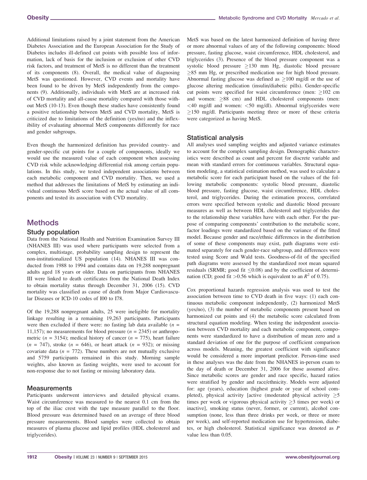Additional limitations raised by a joint statement from the American Diabetes Association and the European Association for the Study of Diabetes includes ill-defined cut points with possible loss of information, lack of basis for the inclusion or exclusion of other CVD risk factors, and treatment of MetS is no different than the treatment of its components (8). Overall, the medical value of diagnosing MetS was questioned. However, CVD events and mortality have been found to be driven by MetS independently from the components (9). Additionally, individuals with MetS are at increased risk of CVD mortality and all-cause mortality compared with those without MetS (10-13). Even though these studies have consistently found a positive relationship between MetS and CVD mortality, MetS is criticized due to limitations of the definition (yes/no) and the inflexibility of evaluating abnormal MetS components differently for race and gender subgroups.

Even though the harmonized definition has provided country- and gender-specific cut points for a couple of components, ideally we would use the measured value of each component when assessing CVD risk while acknowledging differential risk among certain populations. In this study, we tested independent associations between each metabolic component and CVD mortality. Then, we used a method that addresses the limitations of MetS by estimating an individual continuous MetS score based on the actual value of all components and tested its association with CVD mortality.

## **Methods**

#### Study population

Data from the National Health and Nutrition Examination Survey III (NHANES III) was used where participants were selected from a complex, multistage, probability sampling design to represent the non-institutionalized US population (14). NHANES III was conducted from 1988 to 1994 and contains data on 19,288 nonpregnant adults aged 18 years or older. Data on participants from NHANES III were linked to death certificates from the National Death Index to obtain mortality status through December 31, 2006 (15). CVD mortality was classified as cause of death from Major Cardiovascular Diseases or ICD-10 codes of I00 to I78.

Of the 19,288 nonpregnant adults, 25 were ineligible for mortality linkage resulting in a remaining 19,263 participants. Participants were then excluded if there were: no fasting lab data available  $(n =$ 11,157); no measurements for blood pressure ( $n = 2345$ ) or anthropometric ( $n = 3154$ ); medical history of cancer ( $n = 775$ ), heart failure  $(n = 747)$ , stroke  $(n = 646)$ , or heart attack  $(n = 932)$ ; or missing covariate data ( $n = 772$ ). These numbers are not mutually exclusive and 5759 participants remained in this study. Morning sample weights, also known as fasting weights, were used to account for non-response due to not fasting or missing laboratory data.

#### **Measurements**

Participants underwent interviews and detailed physical exams. Waist circumference was measured to the nearest 0.1 cm from the top of the iliac crest with the tape measure parallel to the floor. Blood pressure was determined based on an average of three blood pressure measurements. Blood samples were collected to obtain measures of plasma glucose and lipid profiles (HDL cholesterol and triglycerides).

MetS was based on the latest harmonized definition of having three or more abnormal values of any of the following components: blood pressure, fasting glucose, waist circumference, HDL cholesterol, and triglycerides (3). Presence of the blood pressure component was a systolic blood pressure  $\geq$ 130 mm Hg, diastolic blood pressure  $\geq$ 85 mm Hg, or prescribed medication use for high blood pressure. Abnormal fasting glucose was defined as  $\geq 100$  mg/dl or the use of glucose altering medication (insulin/diabetic pills). Gender-specific cut points were specified for waist circumference (men:  $\geq$ 102 cm and women:  $\geq 88$  cm) and HDL cholesterol components (men:  $\langle 40 \text{ mg/dl} \rangle$  and women:  $\langle 50 \text{ mg/dl} \rangle$ . Abnormal triglycerides were  $\geq$ 150 mg/dl. Participants meeting three or more of these criteria were categorized as having MetS.

#### Statistical analysis

All analyses used sampling weights and adjusted variance estimates to account for the complex sampling design. Demographic characteristics were described as count and percent for discrete variable and mean with standard errors for continuous variables. Structural equation modeling, a statistical estimation method, was used to calculate a metabolic score for each participant based on the values of the following metabolic components: systolic blood pressure, diastolic blood pressure, fasting glucose, waist circumference, HDL cholesterol, and triglycerides. During the estimation process, correlated errors were specified between systolic and diastolic blood pressure measures as well as between HDL cholesterol and triglycerides due to the relationship these variables have with each other. For the purpose of comparing components' contribution to the metabolic score, factor loadings were standardized based on the variance of the fitted model. Because gender and race/ethnic differences in the distribution of some of these components may exist, path diagrams were estimated separately for each gender-race subgroup, and differences were tested using Score and Wald tests. Goodness-of-fit of the specified path diagrams were assessed by the standardized root mean squared residuals (SRMR; good fit  $\leq 0.08$ ) and by the coefficient of determination (CD; good fit > 0.56 which is equivalent to an  $R^2$  of 0.75).

Cox proportional hazards regression analysis was used to test the association between time to CVD death in five ways: (1) each continuous metabolic component independently, (2) harmonized MetS (yes/no), (3) the number of metabolic components present based on harmonized cut points and (4) the metabolic score calculated from structural equation modeling. When testing the independent association between CVD mortality and each metabolic component, components were standardized to have a distribution of mean zero and a standard deviation of one for the purpose of coefficient comparison across models. Meaning, the greatest coefficient with significance would be considered a more important predictor. Person-time used in these analyses was the date from the NHANES in-person exam to the day of death or December 31, 2006 for those assumed alive. Since metabolic scores are gender and race specific, hazard ratios were stratified by gender and race/ethnicity. Models were adjusted for: age (years), education (highest grade or year of school completed), physical activity [active (moderated physical activity  $\geq 5$ times per week or vigorous physical activity  $\geq$ 3 times per week) or inactive], smoking status (never, former, or current), alcohol consumption (none, less than three drinks per week, or three or more per week), and self-reported medication use for hypertension, diabetes, or high cholesterol. Statistical significance was denoted as P value less than 0.05.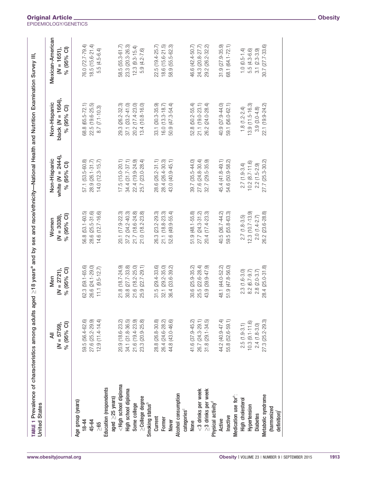| Men                                                                                                                                                                                                                                              | Women                                   | Non-Hispanic                                                                                                            | Non-Hispanic                                                                                      | Mexican-American                                                                                    |
|--------------------------------------------------------------------------------------------------------------------------------------------------------------------------------------------------------------------------------------------------|-----------------------------------------|-------------------------------------------------------------------------------------------------------------------------|---------------------------------------------------------------------------------------------------|-----------------------------------------------------------------------------------------------------|
| % (95% CI)<br>$= 2721$<br>ξ<br>% (95% CI)<br>$W = 5759$                                                                                                                                                                                          | % (95% CI)<br>$(N = 3038),$             | white $(N = 2444)$ ,<br>% (95% CI)                                                                                      | black $(W = 1664)$ ,<br>% (95% CI)                                                                | % (95% CI)<br>$(N = 1651)$ ,                                                                        |
|                                                                                                                                                                                                                                                  |                                         |                                                                                                                         |                                                                                                   |                                                                                                     |
| 62.3 (59.1-65.6)<br>59.5 (56.4-62.6)                                                                                                                                                                                                             | 56.8 (53.1-60.5)                        | 57.1 (53.5-60.8)                                                                                                        | 68.8 (65.5-72.1)                                                                                  | 76.0 (72.7-79.4)                                                                                    |
| 26.6 (24.1-29.0)                                                                                                                                                                                                                                 | 28.6 (25.5-31.6)                        | 28.9 (26.1-31.7)                                                                                                        |                                                                                                   | 18.5 (15.6-21.4)                                                                                    |
| $11.1 (9.5 - 12.7)$                                                                                                                                                                                                                              | 14.6 (12.7-16.6)                        | $14.0(12.3 - 15.7)$                                                                                                     | $8.7 (7.1 - 10.3)$                                                                                | 5.5 (4.5-6.4)                                                                                       |
|                                                                                                                                                                                                                                                  |                                         |                                                                                                                         |                                                                                                   |                                                                                                     |
|                                                                                                                                                                                                                                                  |                                         |                                                                                                                         |                                                                                                   | 58.5 (55.3-61.7)                                                                                    |
|                                                                                                                                                                                                                                                  |                                         |                                                                                                                         |                                                                                                   | 23.3 (20.3-26.3)                                                                                    |
| 21.6 (18.2-25.0)                                                                                                                                                                                                                                 |                                         |                                                                                                                         |                                                                                                   | $12.3(9.3 - 15.4)$                                                                                  |
| 25.9 (22.7-29.1)                                                                                                                                                                                                                                 |                                         | 25.7 (23.0-28.4)                                                                                                        | $13.4(10.8 - 16.0)$                                                                               | $5.9(4.2 - 7.6)$                                                                                    |
|                                                                                                                                                                                                                                                  |                                         |                                                                                                                         |                                                                                                   |                                                                                                     |
| $31.5(29.4-33.6)$<br>28.8 (26.8-30.8)                                                                                                                                                                                                            | 26.3 (23.2-29.3)                        | 28.6 (26.2-31.1)                                                                                                        | 33.1 (30.3-35.9)                                                                                  | 22.5 (19.4-25.7)                                                                                    |
| 32.1 (29.2-35.0)                                                                                                                                                                                                                                 | 21.1 (18.8-23.3)                        |                                                                                                                         |                                                                                                   | 18.6 (15.6-21.5)                                                                                    |
| 36.4 (33.6-39.2)                                                                                                                                                                                                                                 | 52.6 (49.9-55.4)                        | 43.0 (40.9-45.1)                                                                                                        | 50.9 (47.3-54.4)                                                                                  | 58.9 (55.5-62.3)                                                                                    |
|                                                                                                                                                                                                                                                  |                                         |                                                                                                                         |                                                                                                   |                                                                                                     |
|                                                                                                                                                                                                                                                  |                                         |                                                                                                                         |                                                                                                   |                                                                                                     |
| $30.6(25.9 - 35.2)$                                                                                                                                                                                                                              | $51.9(48.1 - 55.8)$                     | 39.7 (35.5-44.0)                                                                                                        | 52.8 (50.2-55.4)                                                                                  | 46.6 (42.4-50.7)                                                                                    |
| 25.5 (22.6-28.4)                                                                                                                                                                                                                                 |                                         | 27.6 (24.8-30.4)                                                                                                        | 21.1 (19.0-23.1)                                                                                  | 24.3 (20.8-27.7)                                                                                    |
| $(39.9 - 47.9)$<br>43.9                                                                                                                                                                                                                          | $(17.4 - 23.3)$<br>20.4                 |                                                                                                                         | $(24.0 - 28.4)$<br>26.2                                                                           | $(26.2 - 32.2)$<br>29.2                                                                             |
|                                                                                                                                                                                                                                                  |                                         |                                                                                                                         |                                                                                                   |                                                                                                     |
| 48.1 (44.0-52.2)<br>44.2 (40.9-47.4)                                                                                                                                                                                                             | 40.5 (36.7-44.2)                        | 45.4 (41.8-49.1)                                                                                                        | 40.9 (37.9-44.0)                                                                                  | $31.9$ $(27.9 - 35.9)$                                                                              |
| 51.9 (47.8-56.0)                                                                                                                                                                                                                                 |                                         | 54.6 (50.9-58.2)                                                                                                        | 59.1 (56.0-62.1)                                                                                  | 68.1 (64.1-72.1)                                                                                    |
|                                                                                                                                                                                                                                                  |                                         |                                                                                                                         |                                                                                                   |                                                                                                     |
| $2.3(1.6-3.0)$<br>$2.5(1.9-3.1)$                                                                                                                                                                                                                 | $2.7(1.8-3.5)$                          | $2.7(1.9-3.4)$                                                                                                          | $1.8(1.2 - 2.4)$                                                                                  | $1.0 (0.5 - 1.4)$                                                                                   |
| $8.2(6.7 - 9.7)$<br>$10.3(9.1 - 11.6)$                                                                                                                                                                                                           | $(2.3(10.7 - 13.9))$                    | $10.2 (8.7 - 11.6)$                                                                                                     | $13.9(11.5 - 16.3)$                                                                               | $5.5(4.3 - 6.6)$                                                                                    |
| $2.8(2.0-3.7)$<br>$2.4(1.8-3.0)$                                                                                                                                                                                                                 | $2.0(1.4-2.7)$                          | $2.2(1.5-2.9)$                                                                                                          | $3.9(3.0 - 4.8)$                                                                                  | $3.1 (2.3 - 3.9)$                                                                                   |
| 28.4 (25.0-31.8)<br>27.3 (25.2-29.3)                                                                                                                                                                                                             | 26.2 (23.6-28.8)                        | 27.7 (25.3-30.2)                                                                                                        | 22.1 (19.9-24.2)                                                                                  | 30.7 (27.7-33.6)                                                                                    |
|                                                                                                                                                                                                                                                  |                                         |                                                                                                                         |                                                                                                   |                                                                                                     |
| 27.6 (25.2-29.9)<br>$12.9(11.4-14.4)$<br>34.1 (31.8-36.5)<br>21.6 (19.4-23.9)<br>23.3 (20.9-25.8)<br>44.8 (43.0-46.6)<br>26.7 (24.3-29.1)<br>$31.8(29.1 - 34.5)$<br>55.8 (52.6-59.1)<br>20.9 (18.6-23.2)<br>26.4 (24.6-28.2)<br>41.6 (37.9-45.2) | 30.8 (27.7-33.8)<br>$21.8(18.7 - 24.9)$ | 21.7 (18.6-24.8)<br>21.0 (18.2-23.8)<br>27.7 (24.3-31.2)<br>20.1 (17.9-22.3)<br>$37.2(34.2 - 40.3)$<br>59.5 (55.8-63.3) | 32.7 (29.5-35.9)<br>$17.5(15.0-20.1)$<br>34.4 (31.7-37.1)<br>22.4 (19.9-24.9)<br>28.4 (26.4-30.3) | $37.1(33.2 - 41.0)$<br>22.5 (19.6-25.5)<br>29.3 (26.2-32.3)<br>20.2 (17.4-23.0)<br>16.0 (13.3-18.7) |

#### Original Article Obesity EPIDEMIOLOGY/GENETICS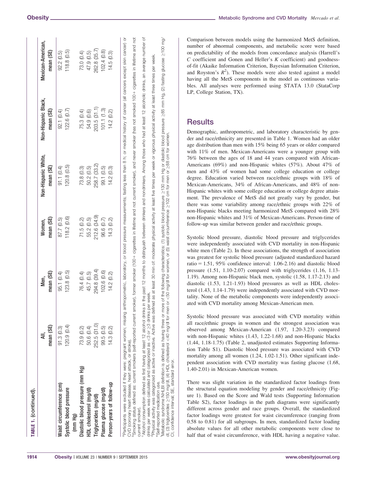| TABLE 1. (continued).                                                                                                                                                                                                                                                                                                                          |              |              |              |                                                                                                       |                     |                   |
|------------------------------------------------------------------------------------------------------------------------------------------------------------------------------------------------------------------------------------------------------------------------------------------------------------------------------------------------|--------------|--------------|--------------|-------------------------------------------------------------------------------------------------------|---------------------|-------------------|
|                                                                                                                                                                                                                                                                                                                                                | ₹            | Men,         | Women,       | Non-Hispanic White,                                                                                   | Non-Hispanic Black, | Mexican-American, |
|                                                                                                                                                                                                                                                                                                                                                | mean (SE)    | mean (SE)    | mean (SE)    | mean (SE)                                                                                             | mean (SE)           | mean (SE)         |
| Waist circumference (cm)                                                                                                                                                                                                                                                                                                                       | 91.3(0.3)    | 95.1 (0.4)   | 87.7 (0.5)   | 91.1(0.4)                                                                                             | 92.1 (0.4)          | 92.2(0.5)         |
| Systolic blood pressure<br>(mm Hg)                                                                                                                                                                                                                                                                                                             | 120.9(0.4)   | 123.8(0.5)   | 118.2(0.6)   | (20.8)(0.5)                                                                                           | 122.6(0.7)          | 118.8(0.5)        |
| Diastolic blood pressure (mm Hg)                                                                                                                                                                                                                                                                                                               | 73.9 (0.2)   | 76.4 (0.4)   | 71.5(0.2)    | 73.8 (0.3)                                                                                            | 75.3 (0.4)          | 73.0 (0.4)        |
| HDL cholesterol (mg/dl)                                                                                                                                                                                                                                                                                                                        | 50.6 (0.4)   | 45.7 (0.5)   | 55.2 (0.5)   | 50.2(0.5)                                                                                             | 54.9 (0.6)          | 47.9 (0.5)        |
| Triglycerides (mg/dl)                                                                                                                                                                                                                                                                                                                          | 252.5 (31.0) | 294.8 (39.4) | 212.6 (34.9) | 258.7 (33.2)                                                                                          | 203.5 (31.1)        | 262.8 (35.7)      |
| Plasma glucose (mg/dl)                                                                                                                                                                                                                                                                                                                         | 99.5(0.5)    | 102.6 (0.6)  | 96.6 (0.7)   | 99.1(0.5)                                                                                             | 101.1(1.3)          | 102.4(0.8)        |
| Person-years of follow-up                                                                                                                                                                                                                                                                                                                      | 14.3(0.2)    | 14.2(0.2)    | 14.3(0.2)    | 14.2(0.3)                                                                                             | 14.2(0.2)           | 14.5(0.3)         |
| <sup>ap</sup> articipants were excluded if they were: pregnant women; women; missing anthropometric, laboratory, or blood pressure measurements; fasting less than 8 h; or medical history of cancer (all cancers exclept skin cancer) o<br>CVD (coronary heart disease, heart attack, or stroke).                                             |              |              |              |                                                                                                       |                     |                   |
| Smoking status defined as: current smokers (self-reported current smoker), former smoker (100+ cigarettes in lifetime and not current smoker), and never smoker (has not smoked 100+ cigarettes in lifetime and not<br>current smoker).                                                                                                        |              |              |              |                                                                                                       |                     |                   |
| 'Alcohol consumption defined as first having at least 12 alcohol drinks in the past 12 months to distinguish between drinkers and nondrinkers. Among those who had at least 12 alcoholic drinks, an average number of<br>drinks per week was calculated and categorized as <3 or >3 drinks per week.                                           |              |              |              |                                                                                                       |                     |                   |
| Physical activity was categorized as active or inactive was defined as at least 30 min of: moderate physical activity at least five times per week or vigorous physical activity at least three times per week.<br>"Self-reported medication use.                                                                                              |              |              |              |                                                                                                       |                     |                   |
| Metabolic syndrome NHLBI definition is defined as having three or more of the following characteristics: (1) systolic blood pressure >130 mm Hg or diastolic blood pressure 285 mm Hg. (2) fasting glucose >100 mg/<br>dl, (3) triglycerides >150 mg/dl, (4) HDL cholesterol <40 mg/dl for men<br>CI, confidence interval; SE, standard error. |              |              |              | or $<$ 50 mg/dl for women, or (5) waist circumference $\ge$ 102 cm for men or $\geq$ 88 cm for women. |                     |                   |

Comparison between models using the harmonized MetS definition, number of abnormal components, and metabolic score were based on predictability of the models from concordance analysis (Harrell's  $C$  coefficient and Gonen and Heller's  $K$  coefficient) and goodnessof-fit (Akaike Information Criterion, Bayesian Information Criterion, and Royston's  $R^2$ ). These models were also tested against a model having all the MetS components in the model as continuous variables. All analyses were performed using STATA 13.0 (StataCorp LP, College Station, TX).

#### **Results**

Demographic, anthropometric, and laboratory characteristic by gender and race/ethnicity are presented in Table 1. Women had an older age distribution than men with 15% being 65 years or older compared with 11% of men. Mexican-Americans were a younger group with 76% between the ages of 18 and 44 years compared with African-Americans (69%) and non-Hispanic whites (57%). About 47% of men and 43% of women had some college education or college degree. Education varied between race/ethnic groups with 18% of Mexican-Americans, 34% of African-Americans, and 48% of non-Hispanic whites with some college education or college degree attainment. The prevalence of MetS did not greatly vary by gender, but there was some variability among race/ethnic groups with 22% of non-Hispanic blacks meeting harmonized MetS compared with 28% non-Hispanic whites and 31% of Mexican-Americans. Person-time of follow-up was similar between gender and race/ethnic groups.

Systolic blood pressure, diastolic blood pressure and triglycerides were independently associated with CVD mortality in non-Hispanic white men (Table 2). In these associations, the strength of association was greatest for systolic blood pressure (adjusted standardized hazard ratio  $= 1.51$ , 95% confidence interval: 1.06-2.16) and diastolic blood pressure (1.51, 1.10-2.07) compared with triglycerides (1.16, 1.13- 1.19). Among non-Hispanic black men, systolic (1.58, 1.17-2.13) and diastolic (1.53, 1.21-1.93) blood pressures as well as HDL cholesterol (1.43, 1.14-1.79) were independently associated with CVD mortality. None of the metabolic components were independently associated with CVD mortality among Mexican-American men.

Systolic blood pressure was associated with CVD mortality within all race/ethnic groups in women and the strongest association was observed among Mexican-American (1.97, 1.20-3.23) compared with non-Hispanic whites (1.43, 1.22-1.68) and non-Hispanic blacks (1.44, 1.18-1.75) (Table 2, unadjusted estimates Supporting Information Table S1). Diastolic blood pressure was associated with CVD mortality among all women (1.24, 1.02-1.51). Other significant independent association with CVD mortality was fasting glucose (1.68, 1.40-2.01) in Mexican-American women.

There was slight variation in the standardized factor loadings from the structural equation modeling by gender and race/ethnicity (Figure 1). Based on the Score and Wald tests (Supporting Information Table S2), factor loadings in the path diagrams were significantly different across gender and race groups. Overall, the standardized factor loadings were greatest for waist circumference (ranging from 0.58 to 0.81) for all subgroups. In men, standardized factor loading absolute values for all other metabolic components were close to half that of waist circumference, with HDL having a negative value.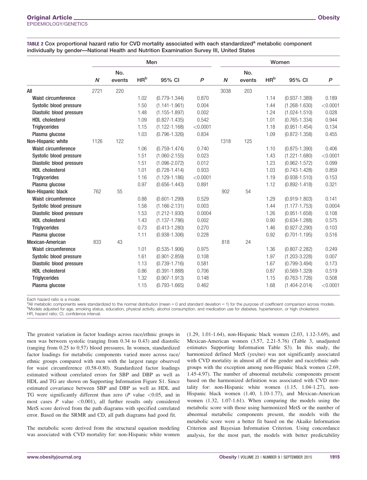TABLE 2 Cox proportional hazard ratio for CVD mortality associated with each standardized<sup>a</sup> metabolic component individually by gender—National Health and Nutrition Examination Survey III, United States

|                          |                  |        |                 | Men               |                  |                  |        |                 | Women             |                  |
|--------------------------|------------------|--------|-----------------|-------------------|------------------|------------------|--------|-----------------|-------------------|------------------|
|                          |                  | No.    |                 |                   |                  |                  | No.    |                 |                   |                  |
|                          | $\boldsymbol{N}$ | events | HR <sup>b</sup> | 95% CI            | $\boldsymbol{P}$ | $\boldsymbol{N}$ | events | HR <sup>b</sup> | 95% CI            | $\boldsymbol{P}$ |
| All                      | 2721             | 220    |                 |                   |                  | 3038             | 203    |                 |                   |                  |
| Waist circumference      |                  |        | 1.02            | $(0.779 - 1.344)$ | 0.870            |                  |        | 1.14            | $(0.937 - 1.389)$ | 0.189            |
| Systolic blood pressure  |                  |        | 1.50            | $(1.141 - 1.961)$ | 0.004            |                  |        | 1.44            | $(1.268 - 1.630)$ | < 0.0001         |
| Diastolic blood pressure |                  |        | 1.48            | $(1.155 - 1.897)$ | 0.002            |                  |        | 1.24            | $(1.024 - 1.510)$ | 0.028            |
| <b>HDL</b> cholesterol   |                  |        | 1.09            | $(0.827 - 1.435)$ | 0.542            |                  |        | 1.01            | $(0.765 - 1.334)$ | 0.944            |
| <b>Triglycerides</b>     |                  |        | 1.15            | $(1.122 - 1.168)$ | < 0.0001         |                  |        | 1.18            | $(0.951 - 1.454)$ | 0.134            |
| Plasma glucose           |                  |        | 1.03            | $(0.796 - 1.326)$ | 0.834            |                  |        | 1.09            | $(0.872 - 1.358)$ | 0.455            |
| Non-Hispanic white       | 1126             | 122    |                 |                   |                  | 1318             | 125    |                 |                   |                  |
| Waist circumference      |                  |        | 1.06            | $(0.759 - 1.474)$ | 0.740            |                  |        | 1.10            | $(0.875 - 1.390)$ | 0.406            |
| Systolic blood pressure  |                  |        | 1.51            | $(1.060 - 2.155)$ | 0.023            |                  |        | 1.43            | $(1.221 - 1.680)$ | < 0.0001         |
| Diastolic blood pressure |                  |        | 1.51            | $(1.096 - 2.072)$ | 0.012            |                  |        | 1.23            | $(0.962 - 1.572)$ | 0.099            |
| <b>HDL</b> cholesterol   |                  |        | 1.01            | $(0.728 - 1.414)$ | 0.933            |                  |        | 1.03            | $(0.743 - 1.428)$ | 0.859            |
| <b>Triglycerides</b>     |                  |        | 1.16            | $(1.129 - 1.186)$ | < 0.0001         |                  |        | 1.19            | $(0.938 - 1.510)$ | 0.153            |
| Plasma glucose           |                  |        | 0.97            | $(0.656 - 1.443)$ | 0.891            |                  |        | 1.12            | $(0.892 - 1.418)$ | 0.321            |
| Non-Hispanic black       | 762              | 55     |                 |                   |                  | 902              | 54     |                 |                   |                  |
| Waist circumference      |                  |        | 0.88            | $(0.601 - 1.299)$ | 0.529            |                  |        | 1.29            | $(0.919 - 1.803)$ | 0.141            |
| Systolic blood pressure  |                  |        | 1.58            | $(1.166 - 2.131)$ | 0.003            |                  |        | 1.44            | $(1.177 - 1.753)$ | 0.0004           |
| Diastolic blood pressure |                  |        | 1.53            | $(1.212 - 1.930)$ | 0.0004           |                  |        | 1.26            | $(0.951 - 1.658)$ | 0.108            |
| <b>HDL</b> cholesterol   |                  |        | 1.43            | $(1.137 - 1.786)$ | 0.002            |                  |        | 0.90            | $(0.634 - 1.288)$ | 0.575            |
| <b>Triglycerides</b>     |                  |        | 0.73            | $(0.413 - 1.280)$ | 0.270            |                  |        | 1.46            | $(0.927 - 2.290)$ | 0.103            |
| Plasma glucose           |                  |        | 1.11            | $(0.938 - 1.306)$ | 0.228            |                  |        | 0.92            | $(0.701 - 1.195)$ | 0.516            |
| Mexican-American         | 833              | 43     |                 |                   |                  | 818              | 24     |                 |                   |                  |
| Waist circumference      |                  |        | 1.01            | $(0.535 - 1.906)$ | 0.975            |                  |        | 1.36            | $(0.807 - 2.282)$ | 0.249            |
| Systolic blood pressure  |                  |        | 1.61            | $(0.901 - 2.859)$ | 0.108            |                  |        | 1.97            | $(1.203 - 3.228)$ | 0.007            |
| Diastolic blood pressure |                  |        | 1.13            | $(0.739 - 1.716)$ | 0.581            |                  |        | 1.67            | $(0.799 - 3.494)$ | 0.173            |
| <b>HDL</b> cholesterol   |                  |        | 0.86            | $(0.391 - 1.888)$ | 0.706            |                  |        | 0.87            | $(0.569 - 1.329)$ | 0.519            |
| <b>Triglycerides</b>     |                  |        | 1.32            | $(0.907 - 1.913)$ | 0.148            |                  |        | 1.15            | $(0.763 - 1.726)$ | 0.508            |
| Plasma glucose           |                  |        | 1.15            | $(0.793 - 1.665)$ | 0.462            |                  |        | 1.68            | $(1.404 - 2.014)$ | < 0.0001         |

Each hazard ratio is a model.

<sup>a</sup> All metabolic components were standardized to the normal distribution (mean = 0 and standard deviation = 1) for the purpose of coefficient comparison across models.<br><sup>b</sup>Models adjusted for age, smoking status, education <sup>b</sup>Models adjusted for age, smoking status, education, physical activity, alcohol consumption, and medication use for diabetes, hypertension, or high cholesterol. HR, hazard ratio; CI, confidence interval.

The greatest variation in factor loadings across race/ethnic groups in men was between systolic (ranging from 0.34 to 0.43) and diastolic (ranging from 0.25 to 0.57) blood pressures. In women, standardized factor loadings for metabolic components varied more across race/ ethnic groups compared with men with the largest range observed for waist circumference (0.58-0.80). Standardized factor loadings estimated without correlated errors for SBP and DBP as well as HDL and TG are shown on Supporting Information Figure S1. Since estimated covariance between SBP and DBP as well as HDL and TG were significantly different than zero  $(P \text{ value} < 0.05, \text{ and in})$ most cases  $P$  value  $\langle 0.001 \rangle$ , all further results only considered MetS score derived from the path diagrams with specified correlated error. Based on the SRMR and CD, all path diagrams had good fit.

The metabolic score derived from the structural equation modeling was associated with CVD mortality for: non-Hispanic white women (1.29, 1.01-1.64), non-Hispanic black women (2.03, 1.12-3.69), and Mexican-American women (3.57, 2.21-5.76) (Table 3, unadjusted estimates Supporting Information Table S3). In this study, the harmonized defined MetS (yes/no) was not significantly associated with CVD mortality in almost all of the gender and race/ethnic subgroups with the exception among non-Hispanic black women (2.69, 1.45-4.97). The number of abnormal metabolic components present based on the harmonized definition was associated with CVD mortality for: non-Hispanic white women (1.15, 1.04-1.27), non-Hispanic black women (1.40, 1.10-1.77), and Mexican-American women (1.32, 1.07-1.61). When comparing the models using the metabolic score with those using harmonized MetS or the number of abnormal metabolic components present, the models with the metabolic score were a better fit based on the Akaike Information Criterion and Bayesian Information Criterion. Using concordance analysis, for the most part, the models with better predictability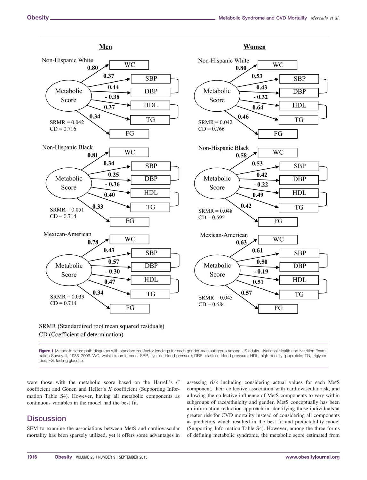

CD (Coefficient of determination)

Figure 1 Metabolic score path diagrams with standardized factor loadings for each gender-race subgroup among US adults—National Health and Nutrition Examination Survey III, 1988–2006. WC, waist circumference; SBP, systolic blood pressure; DBP, diastolic blood pressure; HDL, high-density lipoprotein; TG, triglycerides; FG, fasting glucose.

were those with the metabolic score based on the Harrell's C coefficient and Gönen and Heller's  $K$  coefficient (Supporting Information Table S4). However, having all metabolic components as continuous variables in the model had the best fit.

## **Discussion**

SEM to examine the associations between MetS and cardiovascular mortality has been sparsely utilized, yet it offers some advantages in assessing risk including considering actual values for each MetS component, their collective association with cardiovascular risk, and allowing the collective influence of MetS components to vary within subgroups of race/ethnicity and gender. MetS conceptually has been an information reduction approach in identifying those individuals at greater risk for CVD mortality instead of considering all components as predictors which resulted in the best fit and predictability model (Supporting Information Table S4). However, among the three forms of defining metabolic syndrome, the metabolic score estimated from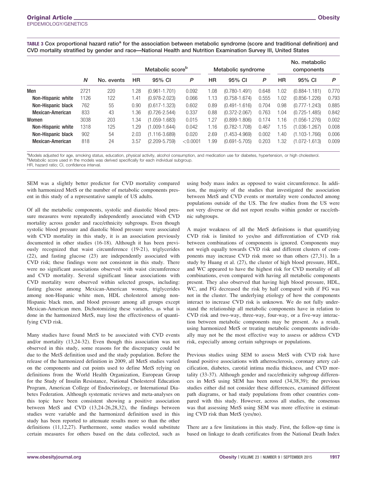TABLE 3 Cox proportional hazard ratio<sup>a</sup> for the association between metabolic syndrome (score and traditional definition) and CVD mortality stratified by gender and race—National Health and Nutrition Examination Survey III, United States

|                    |      |            |      | Metabolic score <sup>b</sup> |          |      | Metabolic syndrome |       |      | No. metabolic<br>components |       |
|--------------------|------|------------|------|------------------------------|----------|------|--------------------|-------|------|-----------------------------|-------|
|                    | N    | No. events | HR   | 95% CI                       | P        | ΗR   | 95% CI             | P     | ΗR   | 95% CI                      | P     |
| Men                | 2721 | 220        | 1.28 | $(0.961 - 1.701)$            | 0.092    | 1.08 | $(0.780 - 1.491)$  | 0.648 | 1.02 | $(0.884 - 1.181)$           | 0.770 |
| Non-Hispanic white | 1126 | 122        | 1.41 | $(0.978 - 2.023)$            | 0.066    | 1.13 | $(0.758 - 1.674)$  | 0.555 | 1.02 | $(0.856 - 1.226)$           | 0.793 |
| Non-Hispanic black | 762  | 55         | 0.90 | $(0.617 - 1.323)$            | 0.602    | 0.89 | $(0.491 - 1.616)$  | 0.704 | 0.98 | $(0.777 - 1.243)$           | 0.885 |
| Mexican-American   | 833  | 43         | .36  | $(0.726 - 2.544)$            | 0.337    | 0.88 | $(0.372 - 2.067)$  | 0.763 | 1.04 | $(0.725 - 1.485)$           | 0.842 |
| Women              | 3038 | 203        | 1.34 | $(1.059 - 1.683)$            | 0.015    | 1.27 | $(0.899 - 1.806)$  | 0.174 | 1.16 | $(1.056 - 1.276)$           | 0.002 |
| Non-Hispanic white | 1318 | 125        | 1.29 | $(1.009 - 1.644)$            | 0.042    | 1.16 | $(0.782 - 1.708)$  | 0.467 | 1.15 | $(1.036 - 1.267)$           | 0.008 |
| Non-Hispanic black | 902  | 54         | 2.03 | $(1.116 - 3.689)$            | 0.020    | 2.69 | $(1.453 - 4.969)$  | 0.002 | 1.40 | $(1.103 - 1.766)$           | 0.006 |
| Mexican-American   | 818  | 24         | 3.57 | $(2.209 - 5.759)$            | < 0.0001 | .99  | $(0.691 - 5.705)$  | 0.203 | 1.32 | $(1.072 - 1.613)$           | 0.009 |

a<br>Models adjusted for age, smoking status, education, physical activity, alcohol consumption, and medication use for diabetes, hypertension, or high cholesterol. <sup>b</sup>Metabolic score used in the models was derived specifically for each individual subgroup.

HR, hazard ratio; CI, confidence interval.

SEM was a slightly better predictor for CVD mortality compared with harmonized MetS or the number of metabolic components present in this study of a representative sample of US adults.

Of all the metabolic components, systolic and diastolic blood pressure measures were repeatedly independently associated with CVD mortality across gender and race/ethnicity subgroups. Even though systolic blood pressure and diastolic blood pressure were associated with CVD mortality in this study, it is an association previously documented in other studies (16-18). Although it has been previously recognized that waist circumference (19-21), triglycerides (22), and fasting glucose (23) are independently associated with CVD risk; these findings were not consistent in this study. There were no significant associations observed with waist circumference and CVD mortality. Several significant linear associations with CVD mortality were observed within selected groups, including: fasting glucose among Mexican-American women, triglycerides among non-Hispanic white men, HDL cholesterol among non-Hispanic black men, and blood pressure among all groups except Mexican-American men. Dichotomizing these variables, as what is done in the harmonized MetS, may lose the effectiveness of quantifying CVD risk.

Many studies have found MetS to be associated with CVD events and/or mortality (13,24-32). Even though this association was not observed in this study, some reasons for the discrepancy could be due to the MetS definition used and the study population. Before the release of the harmonized definition in 2009, all MetS studies varied on the components and cut points used to define MetS relying on definitions from the World Health Organization, European Group for the Study of Insulin Resistance, National Cholesterol Education Program, American College of Endocrinology, or International Diabetes Federation. Although systematic reviews and meta-analyses on this topic have been consistent showing a positive association between MetS and CVD (13,24-26,28,32), the findings between studies were variable and the harmonized definition used in this study has been reported to attenuate results more so than the other definitions (11,12,27). Furthermore, some studies would substitute certain measures for others based on the data collected, such as

using body mass index as opposed to waist circumference. In addition, the majority of the studies that investigated the association between MetS and CVD events or mortality were conducted among populations outside of the US. The few studies from the US were not very diverse or did not report results within gender or race/ethnic subgroups.

A major weakness of all the MetS definitions is that quantifying CVD risk is limited to yes/no and differentiation of CVD risk between combinations of components is ignored. Components may not weigh equally towards CVD risk and different clusters of components may increase CVD risk more so than others (27,31). In a study by Huang et al. (27), the cluster of high blood pressure, HDL, and WC appeared to have the highest risk for CVD mortality of all combinations, even compared with having all metabolic components present. They also observed that having high blood pressure, HDL, WC, and FG decreased the risk by half compared with if FG was not in the cluster. The underlying etiology of how the components interact to increase CVD risk is unknown. We do not fully understand the relationship all metabolic components have in relation to CVD risk and two-way, three-way, four-way, or a five-way interaction between metabolic components may be present. As a result, using harmonized MetS or treating metabolic components individually may not be the most effective way to assess or address CVD risk, especially among certain subgroups or populations.

Previous studies using SEM to assess MetS with CVD risk have found positive associations with atherosclerosis, coronary artery calcification, diabetes, carotid intima media thickness, and CVD mortality (33-37). Although gender and race/ethnicity subgroup differences in MetS using SEM has been noted (34,38,39); the previous studies either did not consider these differences, examined different path diagrams, or had study populations from other countries compared with this study. However, across all studies, the consensus was that assessing MetS using SEM was more effective in estimating CVD risk than MetS (yes/no).

There are a few limitations in this study. First, the follow-up time is based on linkage to death certificates from the National Death Index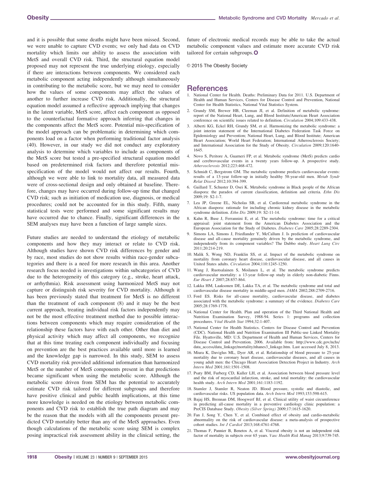and it is possible that some deaths might have been missed. Second, we were unable to capture CVD events; we only had data on CVD mortality which limits our ability to assess the association with MetS and overall CVD risk. Third, the structural equation model proposed may not represent the true underlying etiology, especially if there are interactions between components. We considered each metabolic component acting independently although simultaneously in contributing to the metabolic score, but we may need to consider how the values of some components may affect the values of another to further increase CVD risk. Additionally, the structural equation model assumed a reflective approach implying that changes in the latent variable, MetS score, affect each component as opposed to the counterfactual formative approach inferring that changes in the components affect the MetS score. Potential mis-specification of the model approach can be problematic in determining which components load on a factor when performing traditional factor analysis (40). However, in our study we did not conduct any exploratory analysis to determine which variables to include as components of the MetS score but tested a pre-specified structural equation model based on predetermined risk factors and therefore potential misspecification of the model would not affect our results. Fourth, although we were able to link to mortality data, all measured data were of cross-sectional design and only obtained at baseline. Therefore, changes may have occurred during follow-up time that changed CVD risk; such as initiation of medication use, diagnosis, or medical procedures; could not be accounted for in this study. Fifth, many statistical tests were performed and some significant results may have occurred due to chance. Finally, significant differences in the SEM analyses may have been a function of large sample sizes.

Future studies are needed to understand the etiology of metabolic components and how they may interact or relate to CVD risk. Although studies have shown CVD risk differences by gender and by race, most studies do not show results within race-gender subcategories and there is a need for more research in this area. Another research focus needed is investigations within subcategories of CVD due to the heterogeneity of this category (e.g., stroke, heart attack, or arrhythmia). Risk assessment using harmonized MetS may not capture or distinguish risk severity for CVD mortality. Although it has been previously stated that treatment for MetS is no different than the treatment of each component (8) and it may be the best current approach, treating individual risk factors independently may not be the most effective treatment method due to possible interactions between components which may require consideration of the relationship these factors have with each other. Other than diet and physical activity which may affect all components, we recognize that at this time treating each component individually and focusing on prevention are the best practices available until more is learned and the knowledge gap is narrowed. In this study, SEM to assess CVD mortality risk provided additional information than harmonized MetS or the number of MetS components present in that predictions became significant when using the metabolic score. Although the metabolic score driven from SEM has the potential to accurately estimate CVD risk tailored for different subgroups and therefore have positive clinical and public health implications, at this time more knowledge is needed on the etiology between metabolic components and CVD risk to establish the true path diagram and may be the reason that the models with all the components present predicted CVD mortality better than any of the MetS approaches. Even though calculations of the metabolic score using SEM is complex posing impractical risk assessment ability in the clinical setting, the

future of electronic medical records may be able to take the actual metabolic component values and estimate more accurate CVD risk tailored for certain subgroups.O

© 2015 The Obesity Society

#### **References**

- 1. National Center for Health. Deaths: Preliminary Data for 2011. U.S. Department of Health and Human Services, Centers for Disease Control and Prevention, National Center for Health Statistics, National Vital Statistics System.
- 2. Grundy SM, Brewer HB, Cleeman JI, et al. Definition of metabolic syndrome: report of the National Heart, Lung, and Blood Institute/American Heart Association conference on scientific issues related to definition. Circulation 2004;109:433-438.
- 3. Alberti KG, Eckel RH, Grundy SM, et al. Harmonizing the metabolic syndrome: a joint interim statement of the International Diabetes Federation Task Force on Epidemiology and Prevention; National Heart, Lung, and Blood Institute; American Heart Association; World Heart Federation; International Atherosclerosis Society; and International Association for the Study of Obesity. Circulation 2009;120:1640- 1645.
- 4. Novo S, Peritore A, Guarneri FP, et al. Metabolic syndrome (MetS) predicts cardio and cerebrovascular events in a twenty years follow-up. A prospective study. Atherosclerosis 2012;223:468-472.
- 5. Schmidt C, Bergstrom GM. The metabolic syndrome predicts cardiovascular events: results of a 13-year follow-up in initially healthy 58-year-old men. Metab Syndr Relat Disord 2012;10:394-399.
- 6. Gaillard T, Schuster D, Osei K. Metabolic syndrome in Black people of the African diaspora: the paradox of current classification, definition and criteria. Ethn Dis 2009;19: S2-1-7.
- 7. Lea JP, Greene EL, Nicholas SB, et al. Cardiorenal metabolic syndrome in the African diaspora: rationale for including chronic kidney disease in the metabolic syndrome definition. Ethn Dis 2009;19: S2-11-14.
- 8. Kahn R, Buse J, Ferrannini E, et al. The metabolic syndrome: time for a critical appraisal: joint statement from the American Diabetes Association and the European Association for the Study of Diabetes. Diabetes Care 2005;28:2289-2304.
- 9. Simons LA, Simons J, Friedlander Y, McCallum J. Is prediction of cardiovascular disease and all-cause mortality genuinely driven by the metabolic syndrome, and independently from its component variables? The Dubbo study. Heart Lung Circ 2011;20:214-219.
- 10. Malik S, Wong ND, Franklin SS, et al. Impact of the metabolic syndrome on mortality from coronary heart disease, cardiovascular disease, and all causes in United States adults. Circulation 2004;110:1245-1250.
- 11. Wang J, Ruotsalainen S, Moilanen L, et al. The metabolic syndrome predicts cardiovascular mortality: a 13-year follow-up study in elderly non-diabetic Finns. Eur Heart J 2007;28:857-864.
- 12. Lakka HM, Laaksonen DE, Lakka TA, et al. The metabolic syndrome and total and cardiovascular disease mortality in middle-aged men. JAMA 2002;288:2709-2716.
- 13. Ford ES. Risks for all-cause mortality, cardiovascular disease, and diabetes associated with the metabolic syndrome: a summary of the evidence. Diabetes Care 2005;28:1769-1778.
- 14. National Center for Health. Plan and operation of the Third National Health and Nutrition Examination Survey, 1988-94. Series 1: programs and collection procedures. Vital Health Stat 1994;32:1-407.
- 15. National Center for Health Statistics. Centers for Disease Control and Prevention (CDC). National Health and Nutrition Examination III Public-use Linked Mortality File. Hyattsville, MD: U.S. Department of Health and Human Services, Centers for Disease Control and Prevention. 2006. Available from: [http://www.cdc.gov/nchs/](http://www.cdc.gov/nchs/data_access/data_linkage/mortality/nhanes3_linkage.htm) [data\\_access/data\\_linkage/mortality/nhanes3\\_linkage.htm](http://www.cdc.gov/nchs/data_access/data_linkage/mortality/nhanes3_linkage.htm). Last accessed July 8, 2013.
- 16. Miura K, Daviglus ML, Dyer AR, et al. Relationship of blood pressure to 25-year mortality due to coronary heart disease, cardiovascular diseases, and all causes in young adult men: the Chicago Heart Association Detection Project in Industry. Arch Intern Med 2001;161:1501-1508.
- 17. Psaty BM, Furberg CD, Kuller LH, et al. Association between blood pressure level and the risk of myocardial infarction, stroke, and total mortality: the cardiovascular health study. Arch Intern Med 2001;161:1183-1192.
- 18. Stamler J, Stamler R, Neaton JD. Blood pressure, systolic and diastolic, and cardiovascular risks. US population data. Arch Intern Med 1993;153:598-615.
- 19. Bajaj HS, Brennan DM, Hoogwerf BJ, et al. Clinical utility of waist circumference in predicting all-cause mortality in a preventive cardiology clinic population: a PreCIS Database Study. Obesity (Silver Spring) 2009;17:1615-1620.
- 20. Fan J, Song Y, Chen Y, et al. Combined effect of obesity and cardio-metabolic abnormality on the risk of cardiovascular disease: a meta-analysis of prospective cohort studies. Int J Cardiol 2013;168:4761-4768.
- 21. Thomas F, Pannier B, Benetos A, et al. Visceral obesity is not an independent risk factor of mortality in subjects over 65 years. Vasc Health Risk Manag 2013;9:739-745.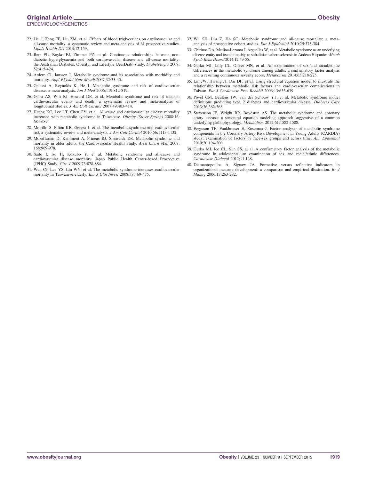- 22. Liu J, Zeng FF, Liu ZM, et al. Effects of blood triglycerides on cardiovascular and all-cause mortality: a systematic review and meta-analysis of 61 prospective studies. Lipids Health Dis 2013;12:159.
- 23. Barr EL, Boyko EJ, Zimmet PZ, et al. Continuous relationships between nondiabetic hyperglycaemia and both cardiovascular disease and all-cause mortality: the Australian Diabetes, Obesity, and Lifestyle (AusDiab) study. Diabetologia 2009; 52:415-424.
- 24. Ardern CI, Janssen I. Metabolic syndrome and its association with morbidity and mortality. Appl Physiol Nutr Metab 2007;32:33-45.
- 25. Galassi A, Reynolds K, He J. Metabolic syndrome and risk of cardiovascular disease: a meta-analysis. Am J Med 2006;119:812-819.
- 26. Gami AS, Witt BJ, Howard DE, et al. Metabolic syndrome and risk of incident cardiovascular events and death: a systematic review and meta-analysis of longitudinal studies. J Am Coll Cardiol 2007;49:403-414.
- 27. Huang KC, Lee LT, Chen CY, et al. All-cause and cardiovascular disease mortality increased with metabolic syndrome in Taiwanese. Obesity (Silver Spring) 2008;16: 684-689.
- 28. Mottillo S, Filion KB, Genest J, et al. The metabolic syndrome and cardiovascular risk a systematic review and meta-analysis. J Am Coll Cardiol 2010;56:1113-1132.
- 29. Mozaffarian D, Kamineni A, Prineas RJ, Siscovick DS. Metabolic syndrome and mortality in older adults: the Cardiovascular Health Study. Arch Intern Med 2008; 168:969-978.
- 30. Saito I, Iso H, Kokubo Y, et al. Metabolic syndrome and all-cause and cardiovascular disease mortality: Japan Public Health Center-based Prospective (JPHC) Study. Circ J 2009;73:878-884.
- 31. Wen CJ, Lee YS, Lin WY, et al. The metabolic syndrome increases cardiovascular mortality in Taiwanese elderly. Eur J Clin Invest 2008;38:469-475.
- 32. Wu SH, Liu Z, Ho SC. Metabolic syndrome and all-cause mortality: a metaanalysis of prospective cohort studies. Eur J Epidemiol 2010;25:375-384.
- 33. Chirinos DA, Medina-Lezama J, Arguelles W, et al. Metabolic syndrome as an underlying disease entity and its relationship to subclinical atherosclerosis in Andean Hispanics. Metab Syndr Relat Disord 2014;12:49-55.
- 34. Gurka MJ, Lilly CL, Oliver MN, et al. An examination of sex and racial/ethnic differences in the metabolic syndrome among adults: a confirmatory factor analysis and a resulting continuous severity score. Metabolism 2014;63:218-225.
- 35. Lin JW, Hwang JJ, Dai DF, et al. Using structural equation model to illustrate the relationship between metabolic risk factors and cardiovascular complications in Taiwan. Eur J Cardiovasc Prev Rehabil 2006;13:633-639.
- 36. Povel CM, Beulens JW, van der Schouw YT, et al. Metabolic syndrome model definitions predicting type 2 diabetes and cardiovascular disease. Diabetes Care 2013;36:362-368.
- 37. Stevenson JE, Wright BR, Boydstun AS. The metabolic syndrome and coronary artery disease: a structural equation modeling approach suggestive of a common underlying pathophysiology. Metabolism 2012;61:1582-1588.
- 38. Ferguson TF, Funkhouser E, Roseman J. Factor analysis of metabolic syndrome components in the Coronary Artery Risk Development in Young Adults (CARDIA) study: examination of factors by race-sex groups and across time. Ann Epidemiol 2010;20:194-200.
- 39. Gurka MJ, Ice CL, Sun SS, et al. A confirmatory factor analysis of the metabolic syndrome in adolescents: an examination of sex and racial/ethnic differences. Cardiovasc Diabetol 2012;11:128.
- 40. Diamantopoulos A, Siguaw JA. Formative versus reflective indicators in organizational measure development: a comparison and empirical illustration. Br J Manag 2006;17:263-282.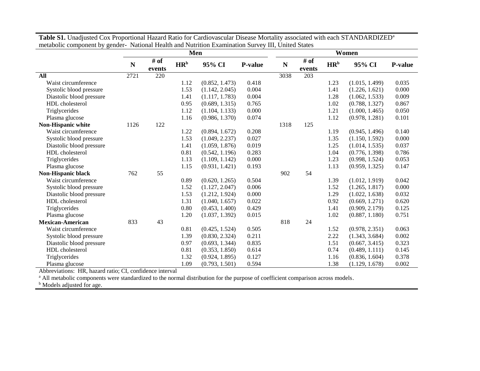| $m$ and $m$ and $m$ and $m$ and $m$ and $m$ and $m$ and $m$ and $m$ and $m$ and $m$ and $m$ and $m$ |             |                | Men             |                |                |      |                |                 | Women          |                |
|-----------------------------------------------------------------------------------------------------|-------------|----------------|-----------------|----------------|----------------|------|----------------|-----------------|----------------|----------------|
|                                                                                                     | $\mathbf N$ | # of<br>events | HR <sup>b</sup> | 95% CI         | <b>P-value</b> | N    | # of<br>events | HR <sup>b</sup> | 95% CI         | <b>P-value</b> |
| All                                                                                                 | 2721        | 220            |                 |                |                | 3038 | 203            |                 |                |                |
| Waist circumference                                                                                 |             |                | 1.12            | (0.852, 1.473) | 0.418          |      |                | 1.23            | (1.015, 1.499) | 0.035          |
| Systolic blood pressure                                                                             |             |                | 1.53            | (1.142, 2.045) | 0.004          |      |                | 1.41            | (1.226, 1.621) | 0.000          |
| Diastolic blood pressure                                                                            |             |                | 1.41            | (1.117, 1.783) | 0.004          |      |                | 1.28            | (1.062, 1.533) | 0.009          |
| HDL cholesterol                                                                                     |             |                | 0.95            | (0.689, 1.315) | 0.765          |      |                | 1.02            | (0.788, 1.327) | 0.867          |
| Triglycerides                                                                                       |             |                | 1.12            | (1.104, 1.133) | 0.000          |      |                | 1.21            | (1.000, 1.465) | 0.050          |
| Plasma glucose                                                                                      |             |                | 1.16            | (0.986, 1.370) | 0.074          |      |                | 1.12            | (0.978, 1.281) | 0.101          |
| Non-Hispanic white                                                                                  | 1126        | 122            |                 |                |                | 1318 | 125            |                 |                |                |
| Waist circumference                                                                                 |             |                | 1.22            | (0.894, 1.672) | 0.208          |      |                | 1.19            | (0.945, 1.496) | 0.140          |
| Systolic blood pressure                                                                             |             |                | 1.53            | (1.049, 2.237) | 0.027          |      |                | 1.35            | (1.150, 1.592) | 0.000          |
| Diastolic blood pressure                                                                            |             |                | 1.41            | (1.059, 1.876) | 0.019          |      |                | 1.25            | (1.014, 1.535) | 0.037          |
| HDL cholesterol                                                                                     |             |                | 0.81            | (0.542, 1.196) | 0.283          |      |                | 1.04            | (0.776, 1.398) | 0.786          |
| Triglycerides                                                                                       |             |                | 1.13            | (1.109, 1.142) | 0.000          |      |                | 1.23            | (0.998, 1.524) | 0.053          |
| Plasma glucose                                                                                      |             |                | 1.15            | (0.931, 1.421) | 0.193          |      |                | 1.13            | (0.959, 1.325) | 0.147          |
| Non-Hispanic black                                                                                  | 762         | 55             |                 |                |                | 902  | 54             |                 |                |                |
| Waist circumference                                                                                 |             |                | 0.89            | (0.620, 1.265) | 0.504          |      |                | 1.39            | (1.012, 1.919) | 0.042          |
| Systolic blood pressure                                                                             |             |                | 1.52            | (1.127, 2.047) | 0.006          |      |                | 1.52            | (1.265, 1.817) | 0.000          |
| Diastolic blood pressure                                                                            |             |                | 1.53            | (1.212, 1.924) | 0.000          |      |                | 1.29            | (1.022, 1.638) | 0.032          |
| HDL cholesterol                                                                                     |             |                | 1.31            | (1.040, 1.657) | 0.022          |      |                | 0.92            | (0.669, 1.271) | 0.620          |
| Triglycerides                                                                                       |             |                | 0.80            | (0.453, 1.400) | 0.429          |      |                | 1.41            | (0.909, 2.179) | 0.125          |
| Plasma glucose                                                                                      |             |                | 1.20            | (1.037, 1.392) | 0.015          |      |                | 1.02            | (0.887, 1.180) | 0.751          |
| <b>Mexican-American</b>                                                                             | 833         | 43             |                 |                |                | 818  | 24             |                 |                |                |
| Waist circumference                                                                                 |             |                | 0.81            | (0.425, 1.524) | 0.505          |      |                | 1.52            | (0.978, 2.351) | 0.063          |
| Systolic blood pressure                                                                             |             |                | 1.39            | (0.830, 2.324) | 0.211          |      |                | 2.22            | (1.343, 3.684) | 0.002          |
| Diastolic blood pressure                                                                            |             |                | 0.97            | (0.693, 1.344) | 0.835          |      |                | 1.51            | (0.667, 3.415) | 0.323          |
| HDL cholesterol                                                                                     |             |                | 0.81            | (0.353, 1.850) | 0.614          |      |                | 0.74            | (0.489, 1.111) | 0.145          |
| Triglycerides                                                                                       |             |                | 1.32            | (0.924, 1.895) | 0.127          |      |                | 1.16            | (0.836, 1.604) | 0.378          |
| Plasma glucose                                                                                      |             |                | 1.09            | (0.793, 1.501) | 0.594          |      |                | 1.38            | (1.129, 1.678) | 0.002          |

Table S1. Unadjusted Cox Proportional Hazard Ratio for Cardiovascular Disease Mortality associated with each STANDARDIZED<sup>a</sup> metabolic component by gender- National Health and Nutrition Examination Survey III, United States

Abbreviations: HR, hazard ratio; CI, confidence interval

<sup>a</sup> All metabolic components were standardized to the normal distribution for the purpose of coefficient comparison across models.

**b** Models adjusted for age.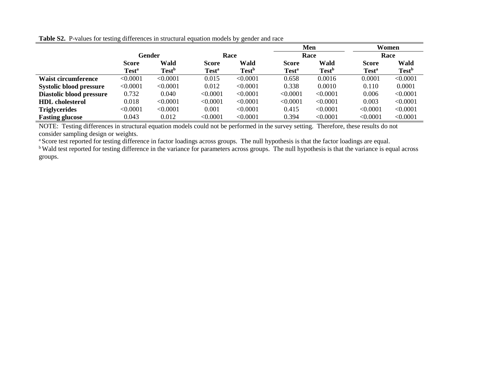|                                |                   |                          |                   |                          |                   | Men                      |                   | Women                    |
|--------------------------------|-------------------|--------------------------|-------------------|--------------------------|-------------------|--------------------------|-------------------|--------------------------|
|                                | <b>Gender</b>     |                          |                   | Race                     |                   | Race                     |                   | Race                     |
|                                | <b>Score</b>      | Wald                     | Score             | Wald                     | <b>Score</b>      | Wald                     | <b>Score</b>      | Wald                     |
|                                | Test <sup>a</sup> | <b>Test</b> <sup>b</sup> | Test <sup>a</sup> | <b>Test</b> <sup>b</sup> | Test <sup>a</sup> | <b>Test</b> <sup>b</sup> | Test <sup>a</sup> | <b>Test</b> <sup>b</sup> |
| <b>Waist circumference</b>     | < 0.0001          | < 0.0001                 | 0.015             | < 0.0001                 | 0.658             | 0.0016                   | 0.0001            | < 0.0001                 |
| <b>Systolic blood pressure</b> | < 0.0001          | < 0.0001                 | 0.012             | < 0.0001                 | 0.338             | 0.0010                   | 0.110             | 0.0001                   |
| Diastolic blood pressure       | 0.732             | 0.040                    | < 0.0001          | < 0.0001                 | < 0.0001          | < 0.0001                 | 0.006             | < 0.0001                 |
| <b>HDL</b> cholesterol         | 0.018             | < 0.0001                 | < 0.0001          | < 0.0001                 | < 0.0001          | < 0.0001                 | 0.003             | < 0.0001                 |
| <b>Triglycerides</b>           | < 0.0001          | < 0.0001                 | 0.001             | < 0.0001                 | 0.415             | < 0.0001                 | < 0.0001          | < 0.0001                 |
| <b>Fasting glucose</b>         | 0.043             | 0.012                    | < 0.0001          | < 0.0001                 | 0.394             | < 0.0001                 | < 0.0001          | < 0.0001                 |

**Table S2.** P-values for testing differences in structural equation models by gender and race

NOTE: Testing differences in structural equation models could not be performed in the survey setting. Therefore, these results do not consider sampling design or weights.

<sup>a</sup> Score test reported for testing difference in factor loadings across groups. The null hypothesis is that the factor loadings are equal.

<sup>b</sup> Wald test reported for testing difference in the variance for parameters across groups. The null hypothesis is that the variance is equal across groups.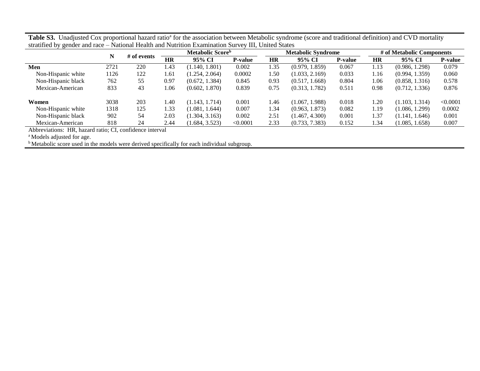Table S3. Unadjusted Cox proportional hazard ratio<sup>a</sup> for the association between Metabolic syndrome (score and traditional definition) and CVD mortality stratified by gender and race – National Health and Nutrition Examination Survey III, United States

|                               |        |               |           | Metabolic Score <sup>b</sup> |                |      | <b>Metabolic Syndrome</b> |                |           | # of Metabolic Components |                |
|-------------------------------|--------|---------------|-----------|------------------------------|----------------|------|---------------------------|----------------|-----------|---------------------------|----------------|
|                               | N      | # of events   | <b>HR</b> | 95% CI                       | <b>P-value</b> | HR   | 95% CI                    | <b>P-value</b> | <b>HR</b> | 95% CI                    | <b>P-value</b> |
| Men                           | 2721   | 220           | 1.43      | (1.140, 1.801)               | 0.002          | 1.35 | (0.979, 1.859)            | 0.067          | 1.13      | (0.986, 1.298)            | 0.079          |
| Non-Hispanic white            | 1126   | 122           | 1.61      | (1.254, 2.064)               | 0.0002         | 1.50 | (1.033, 2.169)            | 0.033          | 1.16      | (0.994, 1.359)            | 0.060          |
| Non-Hispanic black            | 762    | 55            | 0.97      | (0.672, 1.384)               | 0.845          | 0.93 | (0.517, 1.668)            | 0.804          | 1.06      | (0.858, 1.316)            | 0.578          |
| Mexican-American              | 833    | 43            | 1.06      | (0.602, 1.870)               | 0.839          | 0.75 | (0.313, 1.782)            | 0.511          | 0.98      | (0.712, 1.336)            | 0.876          |
| Women                         | 3038   | 203           | 1.40      | (1.143, 1.714)               | 0.001          | 1.46 | (1.067, 1.988)            | 0.018          | 1.20      | (1.103, 1.314)            | < 0.0001       |
| Non-Hispanic white            | 1318   | 125           | 1.33      | (1.081, 1.644)               | 0.007          | 1.34 | (0.963, 1.873)            | 0.082          | 1.19      | (1.086, 1.299)            | 0.0002         |
| Non-Hispanic black            | 902    | 54            | 2.03      | (1.304, 3.163)               | 0.002          | 2.51 | (1.467, 4.300)            | 0.001          | 1.37      | (1.141, 1.646)            | 0.001          |
| Mexican-American              | 818    | 24            | 2.44      | (1.684, 3.523)               | < 0.0001       | 2.33 | (0.733, 7.383)            | 0.152          | 1.34      | (1.085, 1.658)            | 0.007          |
| $x \rightarrow x$<br>$\cdots$ | $\sim$ | $\sim$ $\sim$ |           |                              |                |      |                           |                |           |                           |                |

Abbreviations: HR, hazard ratio; CI, confidence interval

<sup>a</sup> Models adjusted for age.

<sup>b</sup> Metabolic score used in the models were derived specifically for each individual subgroup.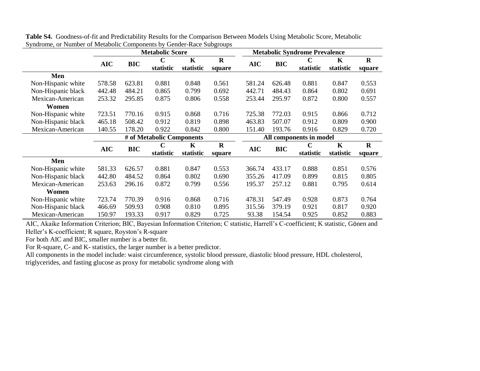|                    |            |            | <b>Metabolic Score</b>    |             |             |            |            | <b>Metabolic Syndrome Prevalence</b> |             |             |
|--------------------|------------|------------|---------------------------|-------------|-------------|------------|------------|--------------------------------------|-------------|-------------|
|                    | <b>AIC</b> | <b>BIC</b> | C                         | K           | $\mathbf R$ | <b>AIC</b> | <b>BIC</b> | C                                    | K           | $\mathbf R$ |
|                    |            |            | statistic                 | statistic   | square      |            |            | statistic                            | statistic   | square      |
| Men                |            |            |                           |             |             |            |            |                                      |             |             |
| Non-Hispanic white | 578.58     | 623.81     | 0.881                     | 0.848       | 0.561       | 581.24     | 626.48     | 0.881                                | 0.847       | 0.553       |
| Non-Hispanic black | 442.48     | 484.21     | 0.865                     | 0.799       | 0.692       | 442.71     | 484.43     | 0.864                                | 0.802       | 0.691       |
| Mexican-American   | 253.32     | 295.85     | 0.875                     | 0.806       | 0.558       | 253.44     | 295.97     | 0.872                                | 0.800       | 0.557       |
| Women              |            |            |                           |             |             |            |            |                                      |             |             |
| Non-Hispanic white | 723.51     | 770.16     | 0.915                     | 0.868       | 0.716       | 725.38     | 772.03     | 0.915                                | 0.866       | 0.712       |
| Non-Hispanic black | 465.18     | 508.42     | 0.912                     | 0.819       | 0.898       | 463.83     | 507.07     | 0.912                                | 0.809       | 0.900       |
| Mexican-American   | 140.55     | 178.20     | 0.922                     | 0.842       | 0.800       | 151.40     | 193.76     | 0.916                                | 0.829       | 0.720       |
|                    |            |            | # of Metabolic Components |             |             |            |            | All components in model              |             |             |
|                    | <b>AIC</b> | <b>BIC</b> | $\mathbf C$               | $\mathbf K$ | $\mathbf R$ | <b>AIC</b> | <b>BIC</b> | $\mathbf C$                          | $\mathbf K$ | $\mathbf R$ |
|                    |            |            | statistic                 | statistic   | square      |            |            | statistic                            | statistic   | square      |
| Men                |            |            |                           |             |             |            |            |                                      |             |             |
| Non-Hispanic white | 581.33     | 626.57     | 0.881                     | 0.847       | 0.553       | 366.74     | 433.17     | 0.888                                | 0.851       | 0.576       |
| Non-Hispanic black | 442.80     | 484.52     | 0.864                     | 0.802       | 0.690       | 355.26     | 417.09     | 0.899                                | 0.815       | 0.805       |
| Mexican-American   | 253.63     | 296.16     | 0.872                     | 0.799       | 0.556       | 195.37     | 257.12     | 0.881                                | 0.795       | 0.614       |
| Women              |            |            |                           |             |             |            |            |                                      |             |             |
| Non-Hispanic white | 723.74     | 770.39     | 0.916                     | 0.868       | 0.716       | 478.31     | 547.49     | 0.928                                | 0.873       | 0.764       |
| Non-Hispanic black | 466.69     | 509.93     | 0.908                     | 0.810       | 0.895       | 315.56     | 379.19     | 0.921                                | 0.817       | 0.920       |
| Mexican-American   | 150.97     | 193.33     | 0.917                     | 0.829       | 0.725       | 93.38      | 154.54     | 0.925                                | 0.852       | 0.883       |

**Table S4.** Goodness-of-fit and Predictability Results for the Comparison Between Models Using Metabolic Score, Metabolic Syndrome, or Number of Metabolic Components by Gender-Race Subgroups

AIC, Akaike Information Criterion; BIC, Bayesian Information Criterion; C statistic, Harrell's C-coefficient; K statistic, Gönen and Heller's K-coefficient; R square, Royston's R-square

For both AIC and BIC, smaller number is a better fit.

For R-square, C- and K- statistics, the larger number is a better predictor.

All components in the model include: waist circumference, systolic blood pressure, diastolic blood pressure, HDL cholesterol, triglycerides, and fasting glucose as proxy for metabolic syndrome along with